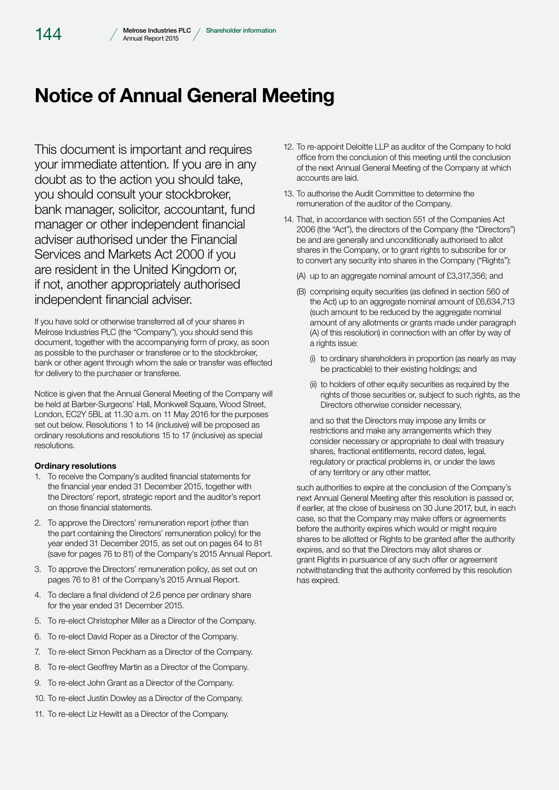## Notice of Annual General Meeting

This document is important and requires your immediate attention. If you are in any doubt as to the action you should take, you should consult your stockbroker, bank manager, solicitor, accountant, fund manager or other independent financial adviser authorised under the Financial Services and Markets Act 2000 if you are resident in the United Kingdom or, if not, another appropriately authorised independent financial adviser.

If you have sold or otherwise transferred all of your shares in Melrose Industries PLC (the "Company"), you should send this document, together with the accompanying form of proxy, as soon as possible to the purchaser or transferee or to the stockbroker, bank or other agent through whom the sale or transfer was effected for delivery to the purchaser or transferee.

Notice is given that the Annual General Meeting of the Company will be held at Barber-Surgeons' Hall, Monkwell Square, Wood Street, London, EC2Y 5BL at 11.30 a.m. on 11 May 2016 for the purposes set out below. Resolutions 1 to 14 (inclusive) will be proposed as ordinary resolutions and resolutions 15 to 17 (inclusive) as special resolutions.

#### Ordinary resolutions

- 1. To receive the Company's audited financial statements for the financial year ended 31 December 2015, together with the Directors' report, strategic report and the auditor's report on those financial statements.
- 2. To approve the Directors' remuneration report (other than the part containing the Directors' remuneration policy) for the year ended 31 December 2015, as set out on pages 64 to 81 (save for pages 76 to 81) of the Company's 2015 Annual Report.
- 3. To approve the Directors' remuneration policy, as set out on pages 76 to 81 of the Company's 2015 Annual Report.
- 4. To declare a final dividend of 2.6 pence per ordinary share for the year ended 31 December 2015.
- 5. To re-elect Christopher Miller as a Director of the Company.
- 6. To re-elect David Roper as a Director of the Company.
- 7. To re-elect Simon Peckham as a Director of the Company.
- 8. To re-elect Geoffrey Martin as a Director of the Company.
- 9. To re-elect John Grant as a Director of the Company.
- 10. To re-elect Justin Dowley as a Director of the Company.
- 11. To re-elect Liz Hewitt as a Director of the Company.
- 12. To re-appoint Deloitte LLP as auditor of the Company to hold office from the conclusion of this meeting until the conclusion of the next Annual General Meeting of the Company at which accounts are laid.
- 13. To authorise the Audit Committee to determine the remuneration of the auditor of the Company.
- 14. That, in accordance with section 551 of the Companies Act 2006 (the "Act"), the directors of the Company (the "Directors") be and are generally and unconditionally authorised to allot shares in the Company, or to grant rights to subscribe for or to convert any security into shares in the Company ("Rights"):
	- (A) up to an aggregate nominal amount of £3,317,356; and
	- (B) comprising equity securities (as defined in section 560 of the Act) up to an aggregate nominal amount of £6,634,713 (such amount to be reduced by the aggregate nominal amount of any allotments or grants made under paragraph (A) of this resolution) in connection with an offer by way of a rights issue:
		- (i) to ordinary shareholders in proportion (as nearly as may be practicable) to their existing holdings; and
		- (ii) to holders of other equity securities as required by the rights of those securities or, subject to such rights, as the Directors otherwise consider necessary,

and so that the Directors may impose any limits or restrictions and make any arrangements which they consider necessary or appropriate to deal with treasury shares, fractional entitlements, record dates, legal, regulatory or practical problems in, or under the laws of any territory or any other matter,

such authorities to expire at the conclusion of the Company's next Annual General Meeting after this resolution is passed or, if earlier, at the close of business on 30 June 2017, but, in each case, so that the Company may make offers or agreements before the authority expires which would or might require shares to be allotted or Rights to be granted after the authority expires, and so that the Directors may allot shares or grant Rights in pursuance of any such offer or agreement notwithstanding that the authority conferred by this resolution has expired.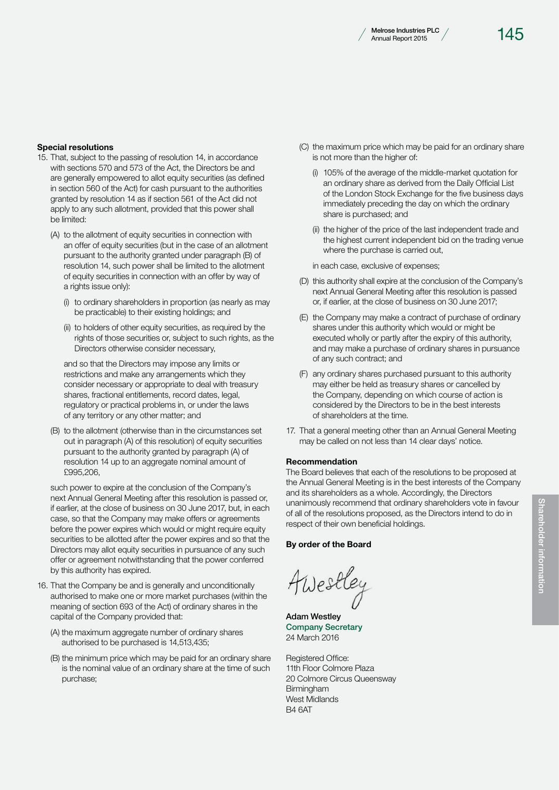## Special resolutions

- 15. That, subject to the passing of resolution 14, in accordance with sections 570 and 573 of the Act, the Directors be and are generally empowered to allot equity securities (as defined in section 560 of the Act) for cash pursuant to the authorities granted by resolution 14 as if section 561 of the Act did not apply to any such allotment, provided that this power shall be limited:
	- (A) to the allotment of equity securities in connection with an offer of equity securities (but in the case of an allotment pursuant to the authority granted under paragraph (B) of resolution 14, such power shall be limited to the allotment of equity securities in connection with an offer by way of a rights issue only):
		- (i) to ordinary shareholders in proportion (as nearly as may be practicable) to their existing holdings; and
		- (ii) to holders of other equity securities, as required by the rights of those securities or, subject to such rights, as the Directors otherwise consider necessary,

 and so that the Directors may impose any limits or restrictions and make any arrangements which they consider necessary or appropriate to deal with treasury shares, fractional entitlements, record dates, legal, regulatory or practical problems in, or under the laws of any territory or any other matter; and

(B) to the allotment (otherwise than in the circumstances set out in paragraph (A) of this resolution) of equity securities pursuant to the authority granted by paragraph (A) of resolution 14 up to an aggregate nominal amount of £995,206,

 such power to expire at the conclusion of the Company's next Annual General Meeting after this resolution is passed or, if earlier, at the close of business on 30 June 2017, but, in each case, so that the Company may make offers or agreements before the power expires which would or might require equity securities to be allotted after the power expires and so that the Directors may allot equity securities in pursuance of any such offer or agreement notwithstanding that the power conferred by this authority has expired.

- 16. That the Company be and is generally and unconditionally authorised to make one or more market purchases (within the meaning of section 693 of the Act) of ordinary shares in the capital of the Company provided that:
	- (A) the maximum aggregate number of ordinary shares authorised to be purchased is 14,513,435;
	- (B) the minimum price which may be paid for an ordinary share is the nominal value of an ordinary share at the time of such purchase;
- (C) the maximum price which may be paid for an ordinary share is not more than the higher of:
	- (i) 105% of the average of the middle-market quotation for an ordinary share as derived from the Daily Official List of the London Stock Exchange for the five business days immediately preceding the day on which the ordinary share is purchased; and
	- (ii) the higher of the price of the last independent trade and the highest current independent bid on the trading venue where the purchase is carried out,

in each case, exclusive of expenses;

- (D) this authority shall expire at the conclusion of the Company's next Annual General Meeting after this resolution is passed or, if earlier, at the close of business on 30 June 2017;
- (E) the Company may make a contract of purchase of ordinary shares under this authority which would or might be executed wholly or partly after the expiry of this authority, and may make a purchase of ordinary shares in pursuance of any such contract; and
- (F) any ordinary shares purchased pursuant to this authority may either be held as treasury shares or cancelled by the Company, depending on which course of action is considered by the Directors to be in the best interests of shareholders at the time.
- 17. That a general meeting other than an Annual General Meeting may be called on not less than 14 clear days' notice.

#### Recommendation

The Board believes that each of the resolutions to be proposed at the Annual General Meeting is in the best interests of the Company and its shareholders as a whole. Accordingly, the Directors unanimously recommend that ordinary shareholders vote in favour of all of the resolutions proposed, as the Directors intend to do in respect of their own beneficial holdings.

By order of the Board

Awestley

Adam Westley Company Secretary 24 March 2016

Registered Office: 11th Floor Colmore Plaza 20 Colmore Circus Queensway Birmingham West Midlands B4 6AT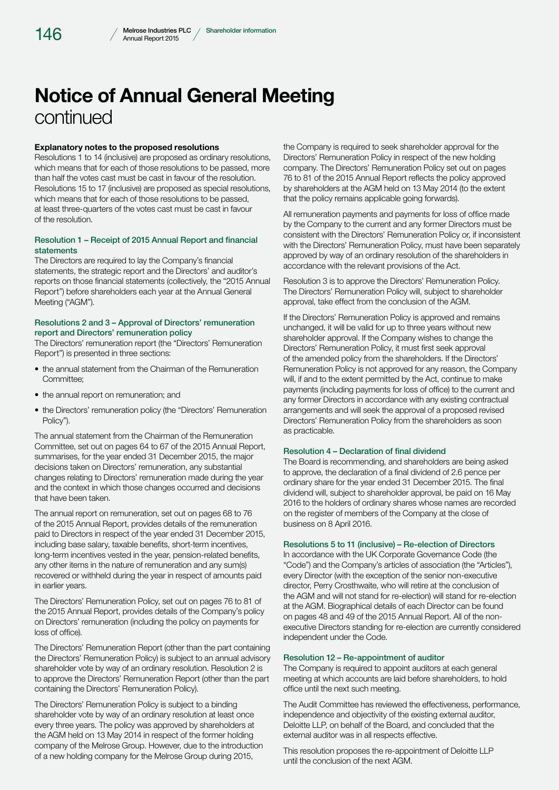## Notice of Annual General Meeting continued

#### Explanatory notes to the proposed resolutions

Resolutions 1 to 14 (inclusive) are proposed as ordinary resolutions, which means that for each of those resolutions to be passed, more than half the votes cast must be cast in favour of the resolution. Resolutions 15 to 17 (inclusive) are proposed as special resolutions, which means that for each of those resolutions to be passed, at least three-quarters of the votes cast must be cast in favour of the resolution.

### Resolution 1 – Receipt of 2015 Annual Report and financial statements

The Directors are required to lay the Company's financial statements, the strategic report and the Directors' and auditor's reports on those financial statements (collectively, the "2015 Annual Report") before shareholders each year at the Annual General Meeting ("AGM").

#### Resolutions 2 and 3 – Approval of Directors' remuneration report and Directors' remuneration policy

The Directors' remuneration report (the "Directors' Remuneration Report") is presented in three sections:

- the annual statement from the Chairman of the Remuneration Committee;
- the annual report on remuneration; and
- the Directors' remuneration policy (the "Directors' Remuneration Policy").

The annual statement from the Chairman of the Remuneration Committee, set out on pages 64 to 67 of the 2015 Annual Report, summarises, for the year ended 31 December 2015, the major decisions taken on Directors' remuneration, any substantial changes relating to Directors' remuneration made during the year and the context in which those changes occurred and decisions that have been taken.

The annual report on remuneration, set out on pages 68 to 76 of the 2015 Annual Report, provides details of the remuneration paid to Directors in respect of the year ended 31 December 2015, including base salary, taxable benefits, short-term incentives, long-term incentives vested in the year, pension-related benefits, any other items in the nature of remuneration and any sum(s) recovered or withheld during the year in respect of amounts paid in earlier years.

The Directors' Remuneration Policy, set out on pages 76 to 81 of the 2015 Annual Report, provides details of the Company's policy on Directors' remuneration (including the policy on payments for loss of office).

The Directors' Remuneration Report (other than the part containing the Directors' Remuneration Policy) is subject to an annual advisory shareholder vote by way of an ordinary resolution. Resolution 2 is to approve the Directors' Remuneration Report (other than the part containing the Directors' Remuneration Policy).

The Directors' Remuneration Policy is subject to a binding shareholder vote by way of an ordinary resolution at least once every three years. The policy was approved by shareholders at the AGM held on 13 May 2014 in respect of the former holding company of the Melrose Group. However, due to the introduction of a new holding company for the Melrose Group during 2015,

the Company is required to seek shareholder approval for the Directors' Remuneration Policy in respect of the new holding company. The Directors' Remuneration Policy set out on pages 76 to 81 of the 2015 Annual Report reflects the policy approved by shareholders at the AGM held on 13 May 2014 (to the extent that the policy remains applicable going forwards).

All remuneration payments and payments for loss of office made by the Company to the current and any former Directors must be consistent with the Directors' Remuneration Policy or, if inconsistent with the Directors' Remuneration Policy, must have been separately approved by way of an ordinary resolution of the shareholders in accordance with the relevant provisions of the Act.

Resolution 3 is to approve the Directors' Remuneration Policy. The Directors' Remuneration Policy will, subject to shareholder approval, take effect from the conclusion of the AGM.

If the Directors' Remuneration Policy is approved and remains unchanged, it will be valid for up to three years without new shareholder approval. If the Company wishes to change the Directors' Remuneration Policy, it must first seek approval of the amended policy from the shareholders. If the Directors' Remuneration Policy is not approved for any reason, the Company will, if and to the extent permitted by the Act, continue to make payments (including payments for loss of office) to the current and any former Directors in accordance with any existing contractual arrangements and will seek the approval of a proposed revised Directors' Remuneration Policy from the shareholders as soon as practicable.

#### Resolution 4 – Declaration of final dividend

The Board is recommending, and shareholders are being asked to approve, the declaration of a final dividend of 2.6 pence per ordinary share for the year ended 31 December 2015. The final dividend will, subject to shareholder approval, be paid on 16 May 2016 to the holders of ordinary shares whose names are recorded on the register of members of the Company at the close of business on 8 April 2016.

#### Resolutions 5 to 11 (inclusive) – Re-election of Directors

In accordance with the UK Corporate Governance Code (the "Code") and the Company's articles of association (the "Articles"), every Director (with the exception of the senior non-executive director, Perry Crosthwaite, who will retire at the conclusion of the AGM and will not stand for re-election) will stand for re-election at the AGM. Biographical details of each Director can be found on pages 48 and 49 of the 2015 Annual Report. All of the nonexecutive Directors standing for re-election are currently considered independent under the Code.

#### Resolution 12 – Re-appointment of auditor

The Company is required to appoint auditors at each general meeting at which accounts are laid before shareholders, to hold office until the next such meeting.

The Audit Committee has reviewed the effectiveness, performance, independence and objectivity of the existing external auditor, Deloitte LLP, on behalf of the Board, and concluded that the external auditor was in all respects effective.

This resolution proposes the re-appointment of Deloitte LLP until the conclusion of the next AGM.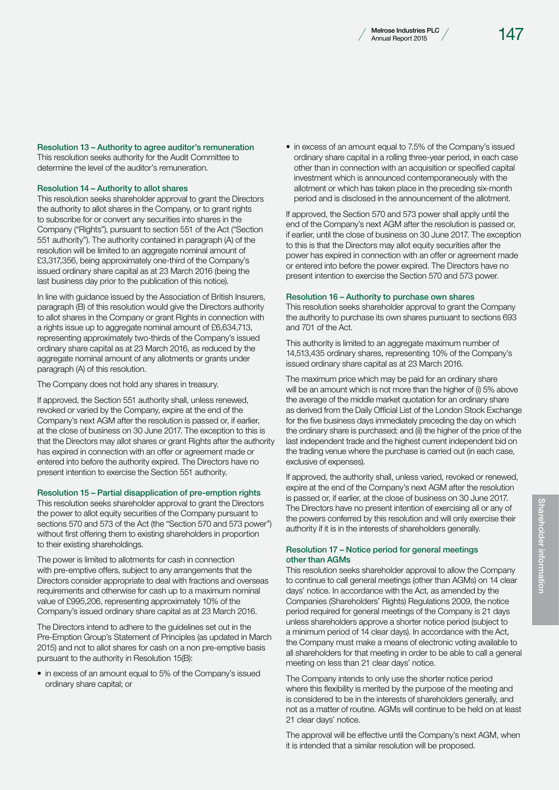Resolution 13 – Authority to agree auditor's remuneration This resolution seeks authority for the Audit Committee to determine the level of the auditor's remuneration.

## Resolution 14 – Authority to allot shares

This resolution seeks shareholder approval to grant the Directors the authority to allot shares in the Company, or to grant rights to subscribe for or convert any securities into shares in the Company ("Rights"), pursuant to section 551 of the Act ("Section 551 authority"). The authority contained in paragraph (A) of the resolution will be limited to an aggregate nominal amount of £3,317,356, being approximately one-third of the Company's issued ordinary share capital as at 23 March 2016 (being the last business day prior to the publication of this notice).

In line with guidance issued by the Association of British Insurers, paragraph (B) of this resolution would give the Directors authority to allot shares in the Company or grant Rights in connection with a rights issue up to aggregate nominal amount of £6,634,713, representing approximately two-thirds of the Company's issued ordinary share capital as at 23 March 2016, as reduced by the aggregate nominal amount of any allotments or grants under paragraph (A) of this resolution.

The Company does not hold any shares in treasury.

If approved, the Section 551 authority shall, unless renewed, revoked or varied by the Company, expire at the end of the Company's next AGM after the resolution is passed or, if earlier, at the close of business on 30 June 2017. The exception to this is that the Directors may allot shares or grant Rights after the authority has expired in connection with an offer or agreement made or entered into before the authority expired. The Directors have no present intention to exercise the Section 551 authority.

#### Resolution 15 – Partial disapplication of pre-emption rights

This resolution seeks shareholder approval to grant the Directors the power to allot equity securities of the Company pursuant to sections 570 and 573 of the Act (the "Section 570 and 573 power") without first offering them to existing shareholders in proportion to their existing shareholdings.

The power is limited to allotments for cash in connection with pre-emptive offers, subject to any arrangements that the Directors consider appropriate to deal with fractions and overseas requirements and otherwise for cash up to a maximum nominal value of £995,206, representing approximately 10% of the Company's issued ordinary share capital as at 23 March 2016.

The Directors intend to adhere to the guidelines set out in the Pre-Emption Group's Statement of Principles (as updated in March 2015) and not to allot shares for cash on a non pre-emptive basis pursuant to the authority in Resolution 15(B):

• in excess of an amount equal to 5% of the Company's issued ordinary share capital; or

• in excess of an amount equal to 7.5% of the Company's issued ordinary share capital in a rolling three-year period, in each case other than in connection with an acquisition or specified capital investment which is announced contemporaneously with the allotment or which has taken place in the preceding six-month period and is disclosed in the announcement of the allotment.

If approved, the Section 570 and 573 power shall apply until the end of the Company's next AGM after the resolution is passed or, if earlier, until the close of business on 30 June 2017. The exception to this is that the Directors may allot equity securities after the power has expired in connection with an offer or agreement made or entered into before the power expired. The Directors have no present intention to exercise the Section 570 and 573 power.

#### Resolution 16 – Authority to purchase own shares

This resolution seeks shareholder approval to grant the Company the authority to purchase its own shares pursuant to sections 693 and 701 of the Act.

This authority is limited to an aggregate maximum number of 14,513,435 ordinary shares, representing 10% of the Company's issued ordinary share capital as at 23 March 2016.

The maximum price which may be paid for an ordinary share will be an amount which is not more than the higher of (i) 5% above the average of the middle market quotation for an ordinary share as derived from the Daily Official List of the London Stock Exchange for the five business days immediately preceding the day on which the ordinary share is purchased; and (ii) the higher of the price of the last independent trade and the highest current independent bid on the trading venue where the purchase is carried out (in each case, exclusive of expenses).

If approved, the authority shall, unless varied, revoked or renewed, expire at the end of the Company's next AGM after the resolution is passed or, if earlier, at the close of business on 30 June 2017. The Directors have no present intention of exercising all or any of the powers conferred by this resolution and will only exercise their authority if it is in the interests of shareholders generally.

## Resolution 17 – Notice period for general meetings other than AGMs

This resolution seeks shareholder approval to allow the Company to continue to call general meetings (other than AGMs) on 14 clear days' notice. In accordance with the Act, as amended by the Companies (Shareholders' Rights) Regulations 2009, the notice period required for general meetings of the Company is 21 days unless shareholders approve a shorter notice period (subject to a minimum period of 14 clear days). In accordance with the Act, the Company must make a means of electronic voting available to all shareholders for that meeting in order to be able to call a general meeting on less than 21 clear days' notice.

The Company intends to only use the shorter notice period where this flexibility is merited by the purpose of the meeting and is considered to be in the interests of shareholders generally, and not as a matter of routine. AGMs will continue to be held on at least 21 clear days' notice.

The approval will be effective until the Company's next AGM, when it is intended that a similar resolution will be proposed.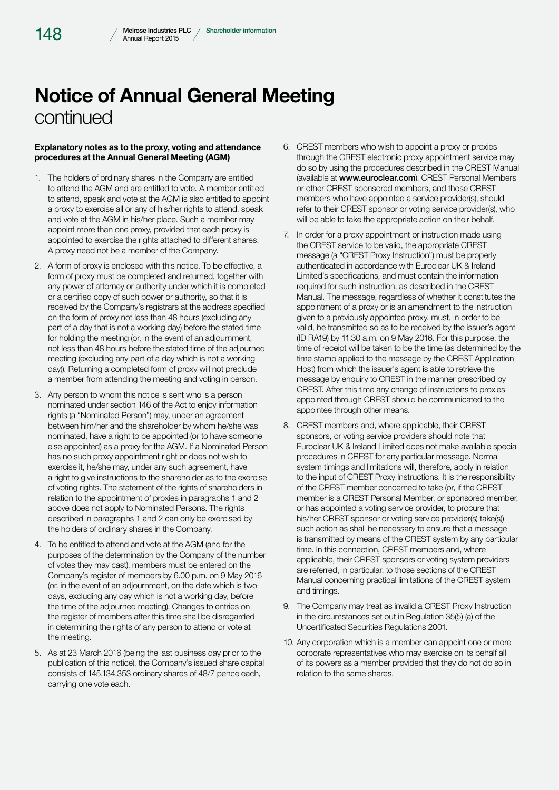# Notice of Annual General Meeting continued

## Explanatory notes as to the proxy, voting and attendance procedures at the Annual General Meeting (AGM)

- 1. The holders of ordinary shares in the Company are entitled to attend the AGM and are entitled to vote. A member entitled to attend, speak and vote at the AGM is also entitled to appoint a proxy to exercise all or any of his/her rights to attend, speak and vote at the AGM in his/her place. Such a member may appoint more than one proxy, provided that each proxy is appointed to exercise the rights attached to different shares. A proxy need not be a member of the Company.
- 2. A form of proxy is enclosed with this notice. To be effective, a form of proxy must be completed and returned, together with any power of attorney or authority under which it is completed or a certified copy of such power or authority, so that it is received by the Company's registrars at the address specified on the form of proxy not less than 48 hours (excluding any part of a day that is not a working day) before the stated time for holding the meeting (or, in the event of an adjournment, not less than 48 hours before the stated time of the adjourned meeting (excluding any part of a day which is not a working day)). Returning a completed form of proxy will not preclude a member from attending the meeting and voting in person.
- 3. Any person to whom this notice is sent who is a person nominated under section 146 of the Act to enjoy information rights (a "Nominated Person") may, under an agreement between him/her and the shareholder by whom he/she was nominated, have a right to be appointed (or to have someone else appointed) as a proxy for the AGM. If a Nominated Person has no such proxy appointment right or does not wish to exercise it, he/she may, under any such agreement, have a right to give instructions to the shareholder as to the exercise of voting rights. The statement of the rights of shareholders in relation to the appointment of proxies in paragraphs 1 and 2 above does not apply to Nominated Persons. The rights described in paragraphs 1 and 2 can only be exercised by the holders of ordinary shares in the Company.
- 4. To be entitled to attend and vote at the AGM (and for the purposes of the determination by the Company of the number of votes they may cast), members must be entered on the Company's register of members by 6.00 p.m. on 9 May 2016 (or, in the event of an adjournment, on the date which is two days, excluding any day which is not a working day, before the time of the adjourned meeting). Changes to entries on the register of members after this time shall be disregarded in determining the rights of any person to attend or vote at the meeting.
- 5. As at 23 March 2016 (being the last business day prior to the publication of this notice), the Company's issued share capital consists of 145,134,353 ordinary shares of 48/7 pence each, carrying one vote each.
- 6. CREST members who wish to appoint a proxy or proxies through the CREST electronic proxy appointment service may do so by using the procedures described in the CREST Manual (available at www.euroclear.com). CREST Personal Members or other CREST sponsored members, and those CREST members who have appointed a service provider(s), should refer to their CREST sponsor or voting service provider(s), who will be able to take the appropriate action on their behalf.
- 7. In order for a proxy appointment or instruction made using the CREST service to be valid, the appropriate CREST message (a "CREST Proxy Instruction") must be properly authenticated in accordance with Euroclear UK & Ireland Limited's specifications, and must contain the information required for such instruction, as described in the CREST Manual. The message, regardless of whether it constitutes the appointment of a proxy or is an amendment to the instruction given to a previously appointed proxy, must, in order to be valid, be transmitted so as to be received by the issuer's agent (ID RA19) by 11.30 a.m. on 9 May 2016. For this purpose, the time of receipt will be taken to be the time (as determined by the time stamp applied to the message by the CREST Application Host) from which the issuer's agent is able to retrieve the message by enquiry to CREST in the manner prescribed by CREST. After this time any change of instructions to proxies appointed through CREST should be communicated to the appointee through other means.
- 8. CREST members and, where applicable, their CREST sponsors, or voting service providers should note that Euroclear UK & Ireland Limited does not make available special procedures in CREST for any particular message. Normal system timings and limitations will, therefore, apply in relation to the input of CREST Proxy Instructions. It is the responsibility of the CREST member concerned to take (or, if the CREST member is a CREST Personal Member, or sponsored member, or has appointed a voting service provider, to procure that his/her CREST sponsor or voting service provider(s) take(s)) such action as shall be necessary to ensure that a message is transmitted by means of the CREST system by any particular time. In this connection, CREST members and, where applicable, their CREST sponsors or voting system providers are referred, in particular, to those sections of the CREST Manual concerning practical limitations of the CREST system and timings.
- 9. The Company may treat as invalid a CREST Proxy Instruction in the circumstances set out in Regulation 35(5) (a) of the Uncertificated Securities Regulations 2001.
- 10. Any corporation which is a member can appoint one or more corporate representatives who may exercise on its behalf all of its powers as a member provided that they do not do so in relation to the same shares.